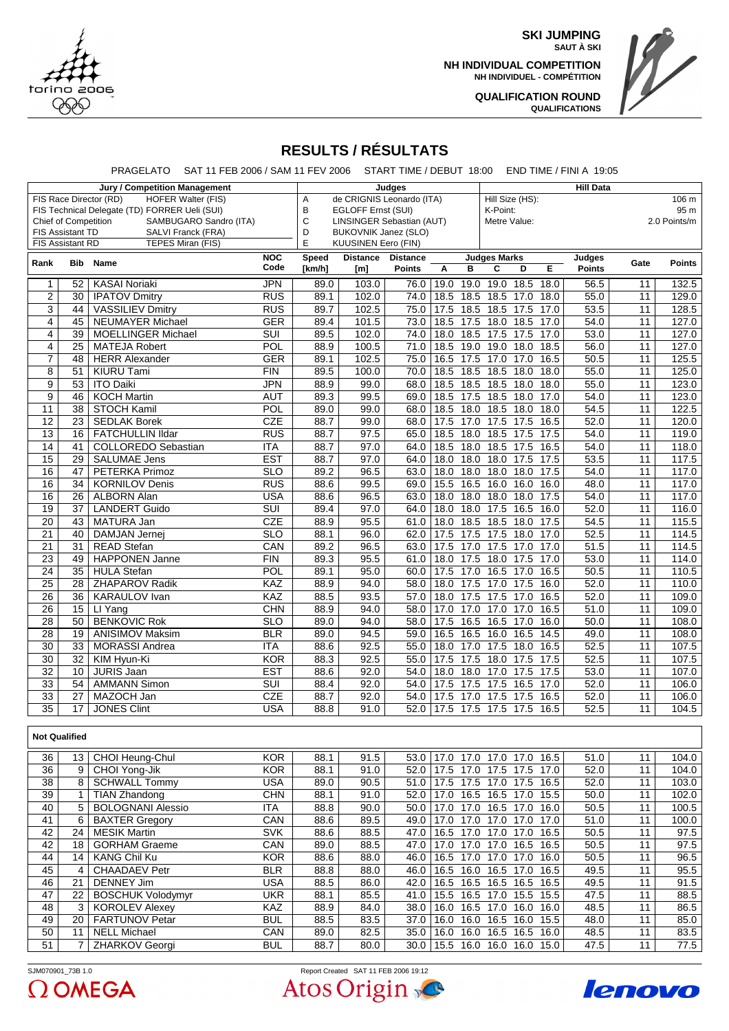

**SKI JUMPING SAUT À SKI**

**NH INDIVIDUAL COMPETITION NH INDIVIDUEL - COMPÉTITION**



**QUALIFICATION ROUND QUALIFICATIONS**

## **RESULTS / RÉSULTATS**

PRAGELATO SAT 11 FEB 2006 / SAM 11 FEV 2006 START TIME / DEBUT 18:00 END TIME / FINI A 19:05

| <b>Jury / Competition Management</b>                |                      |                                               |                                |                                  | <b>Hill Data</b>                |                          |      |      |                     |                     |      |                   |                 |               |  |  |  |
|-----------------------------------------------------|----------------------|-----------------------------------------------|--------------------------------|----------------------------------|---------------------------------|--------------------------|------|------|---------------------|---------------------|------|-------------------|-----------------|---------------|--|--|--|
| <b>HOFER Walter (FIS)</b><br>FIS Race Director (RD) |                      |                                               |                                | de CRIGNIS Leonardo (ITA)<br>A   |                                 | Hill Size (HS):<br>106 m |      |      |                     |                     |      |                   |                 |               |  |  |  |
|                                                     |                      | FIS Technical Delegate (TD) FORRER Ueli (SUI) |                                | B<br>EGLOFF Ernst (SUI)          |                                 | K-Point:                 |      |      |                     |                     | 95 m |                   |                 |               |  |  |  |
| SAMBUGARO Sandro (ITA)<br>Chief of Competition      |                      |                                               | C<br>LINSINGER Sebastian (AUT) |                                  | Metre Value:                    |                          |      |      |                     | 2.0 Points/m        |      |                   |                 |               |  |  |  |
| FIS Assistant TD<br>SALVI Franck (FRA)              |                      |                                               |                                | <b>BUKOVNIK Janez (SLO)</b><br>D |                                 |                          |      |      |                     |                     |      |                   |                 |               |  |  |  |
| <b>FIS Assistant RD</b><br>TEPES Miran (FIS)        |                      |                                               |                                |                                  | E<br><b>KUUSINEN Eero (FIN)</b> |                          |      |      |                     |                     |      |                   |                 |               |  |  |  |
| Rank<br>Bib                                         |                      | Name                                          | NOC                            | Speed                            | <b>Distance</b>                 | <b>Distance</b>          |      |      | <b>Judges Marks</b> |                     |      | Judges            | Gate            | <b>Points</b> |  |  |  |
|                                                     |                      |                                               | Code                           | [km/h]                           | [m]                             | <b>Points</b>            | Α    | в    | C                   | D                   | E    | <b>Points</b>     |                 |               |  |  |  |
| $\mathbf{1}$                                        | 52                   | <b>KASAI Noriaki</b>                          | <b>JPN</b>                     | 89.0                             | 103.0                           | 76.0                     | 19.0 | 19.0 | 19.0                | 18.5                | 18.0 | 56.5              | 11              | 132.5         |  |  |  |
| $\overline{c}$                                      | 30                   | <b>IPATOV Dmitry</b>                          | <b>RUS</b>                     | 89.1                             | 102.0                           | 74.0                     | 18.5 | 18.5 | 18.5                | 17.0                | 18.0 | 55.0              | 11              | 129.0         |  |  |  |
| $\overline{3}$                                      | 44                   | <b>VASSILIEV Dmitry</b>                       | RUS                            | 89.7                             | 102.5                           | 75.0                     | 17.5 | 18.5 | 18.5                | 17.5                | 17.0 | 53.5              | $\overline{11}$ | 128.5         |  |  |  |
| $\overline{4}$                                      | 45                   | <b>NEUMAYER Michael</b>                       | <b>GER</b>                     | 89.4                             | 101.5                           | 73.0                     | 18.5 | 17.5 | 18.0                | 18.5                | 17.0 | 54.0              | 11              | 127.0         |  |  |  |
| $\overline{\mathbf{4}}$                             | 39                   | <b>MOELLINGER Michael</b>                     | $\overline{\text{SUI}}$        | 89.5                             | 102.0                           | 74.0                     | 18.0 | 18.5 | 17.5                | 17.5                | 17.0 | 53.0              | 11              | 127.0         |  |  |  |
| $\overline{4}$                                      | 25                   | <b>MATEJA Robert</b>                          | POL                            | 88.9                             | 100.5                           | 71.0                     | 18.5 |      | 19.0 19.0 18.0      |                     | 18.5 | 56.0              | 11              | 127.0         |  |  |  |
| $\overline{7}$                                      | 48                   | <b>HERR Alexander</b>                         | <b>GER</b>                     | 89.1                             | 102.5                           | 75.0                     | 16.5 | 17.5 | 17.0                | 17.0                | 16.5 | 50.5              | $\overline{11}$ | 125.5         |  |  |  |
| 8                                                   | $\overline{51}$      | <b>KIURU Tami</b>                             | FIN                            | 89.5                             | 100.0                           | 70.0                     | 18.5 | 18.5 | 18.5                | 18.0                | 18.0 | 55.0              | 11              | 125.0         |  |  |  |
| $\overline{9}$                                      | 53                   | <b>ITO Daiki</b>                              | <b>JPN</b>                     | 88.9                             | 99.0                            | 68.0                     | 18.5 | 18.5 | 18.5                | 18.0                | 18.0 | 55.0              | 11              | 123.0         |  |  |  |
| $\overline{9}$                                      | 46                   | <b>KOCH Martin</b>                            | <b>AUT</b>                     | 89.3                             | 99.5                            | 69.0                     | 18.5 | 17.5 | 18.5                | 18.0                | 17.0 | 54.0              | 11              | 123.0         |  |  |  |
| $\overline{11}$                                     | $\overline{38}$      | <b>STOCH Kamil</b>                            | POL                            | 89.0                             | 99.0                            | 68.0                     | 18.5 | 18.0 | 18.5                | 18.0                | 18.0 | 54.5              | $\overline{11}$ | 122.5         |  |  |  |
| $\overline{12}$                                     | $\overline{23}$      | <b>SEDLAK Borek</b>                           | CZE                            | 88.7                             | 99.0                            | 68.0                     | 17.5 | 17.0 | 17.5                | 17.5                | 16.5 | 52.0              | 11              | 120.0         |  |  |  |
| $\overline{13}$                                     | 16                   | <b>FATCHULLIN IIdar</b>                       | <b>RUS</b>                     | 88.7                             | 97.5                            | 65.0                     | 18.5 | 18.0 | 18.5                | 17.5                | 17.5 | 54.0              | 11              | 119.0         |  |  |  |
| 14                                                  | 41                   | <b>COLLOREDO Sebastian</b>                    | <b>ITA</b>                     | 88.7                             | 97.0                            | 64.0                     | 18.5 | 18.0 | 18.5                | 17.5                | 16.5 | 54.0              | 11              | 118.0         |  |  |  |
| $\overline{15}$                                     | $\overline{29}$      | <b>SALUMAE Jens</b>                           | $\overline{EST}$               | 88.7                             | 97.0                            | 64.0                     | 18.0 | 18.0 | 18.0 17.5           |                     | 17.5 | 53.5              | 11              | 117.5         |  |  |  |
| 16                                                  | 47                   | <b>PETERKA Primoz</b>                         | $\overline{\text{SLO}}$        | 89.2                             | 96.5                            | 63.0                     | 18.0 | 18.0 | 18.0                | 18.0                | 17.5 | 54.0              | $\overline{11}$ | 117.0         |  |  |  |
| 16                                                  | $\overline{34}$      | <b>KORNILOV Denis</b>                         | <b>RUS</b>                     | 88.6                             | 99.5                            | 69.0                     | 15.5 | 16.5 | 16.0                | 16.0                | 16.0 | 48.0              | $\overline{11}$ | 117.0         |  |  |  |
| 16                                                  | 26                   | <b>ALBORN Alan</b>                            | <b>USA</b>                     | 88.6                             | 96.5                            | 63.0                     | 18.0 | 18.0 | 18.0 18.0           |                     | 17.5 | 54.0              | 11              | 117.0         |  |  |  |
| $\overline{19}$                                     | $\overline{37}$      | <b>LANDERT Guido</b>                          | $\overline{\text{SUI}}$        | 89.4                             | 97.0                            | 64.0                     | 18.0 | 18.0 | 17.5                | 16.5                | 16.0 | 52.0              | 11              | 116.0         |  |  |  |
| $\overline{20}$                                     | $\overline{43}$      | <b>MATURA Jan</b>                             | <b>CZE</b>                     | 88.9                             | 95.5                            | 61.0                     | 18.0 | 18.5 | 18.5 18.0           |                     | 17.5 | 54.5              | 11              | 115.5         |  |  |  |
| $\overline{21}$                                     | 40                   | <b>DAMJAN Jernej</b>                          | $\overline{\text{SLO}}$        | 88.1                             | 96.0                            | 62.0                     | 17.5 | 17.5 | 17.5                | 18.0                | 17.0 | 52.5              | 11              | 114.5         |  |  |  |
| 21                                                  | $\overline{31}$      | <b>READ Stefan</b>                            | CAN                            | 89.2                             | 96.5                            | 63.0                     | 17.5 | 17.0 | 17.5                | 17.0                | 17.0 | $\overline{51.5}$ | $\overline{11}$ | 114.5         |  |  |  |
| $\overline{23}$                                     | 49                   | <b>HAPPONEN Janne</b>                         | FIN                            | 89.3                             | 95.5                            | 61.0                     | 18.0 | 17.5 | 18.0                | 17.5                | 17.0 | 53.0              | 11              | 114.0         |  |  |  |
| $\overline{24}$                                     | $\overline{35}$      | <b>HULA Stefan</b>                            | $\overline{POL}$               | 89.1                             | 95.0                            | 60.0                     | 17.5 | 17.0 | 16.5 17.0           |                     | 16.5 | 50.5              | 11              | 110.5         |  |  |  |
| $\overline{25}$                                     | $\overline{28}$      | <b>ZHAPAROV Radik</b>                         | KAZ                            | 88.9                             | 94.0                            | 58.0                     | 18.0 | 17.5 | 17.0                | 17.5                | 16.0 | 52.0              | $\overline{11}$ | 110.0         |  |  |  |
| $\overline{26}$                                     | $\overline{36}$      | <b>KARAULOV</b> Ivan                          | KAZ                            | 88.5                             | 93.5                            | 57.0                     | 18.0 | 17.5 | 17.5                | 17.0                | 16.5 | 52.0              | 11              | 109.0         |  |  |  |
| $\overline{26}$                                     | $\overline{15}$      | LI Yang                                       | CHN                            | 88.9                             | 94.0                            | 58.0                     | 17.0 | 17.0 | 17.0                | 17.0                | 16.5 | 51.0              | 11              | 109.0         |  |  |  |
| $\overline{28}$                                     | 50                   | <b>BENKOVIC Rok</b>                           | $\overline{\text{SLO}}$        | 89.0                             | 94.0                            | 58.0                     | 17.5 | 16.5 | 16.5                | 17.0                | 16.0 | 50.0              | 11              | 108.0         |  |  |  |
| $\overline{28}$                                     | $\overline{19}$      | <b>ANISIMOV Maksim</b>                        | <b>BLR</b>                     | 89.0                             | 94.5                            | 59.0                     | 16.5 | 16.5 | 16.0                | 16.5                | 14.5 | 49.0              | $\overline{11}$ | 108.0         |  |  |  |
| $\overline{30}$                                     | $\overline{33}$      | <b>MORASSI Andrea</b>                         | <b>ITA</b>                     | 88.6                             | 92.5                            | 55.0                     | 18.0 | 17.0 | 17.5                | 18.0                | 16.5 | 52.5              | 11              | 107.5         |  |  |  |
| $\overline{30}$                                     | $\overline{32}$      | KIM Hyun-Ki                                   | <b>KOR</b>                     | 88.3                             | 92.5                            | 55.0                     | 17.5 | 17.5 | 18.0                | 17.5                | 17.5 | 52.5              | 11              | 107.5         |  |  |  |
| $\overline{32}$                                     | 10                   | <b>JURIS Jaan</b>                             | <b>EST</b>                     | 88.6                             | 92.0                            | 54.0                     | 18.0 | 18.0 | 17.0 17.5           |                     | 17.5 | 53.0              | 11              | 107.0         |  |  |  |
| 33                                                  | 54                   | <b>AMMANN Simon</b>                           | $\overline{\text{SUI}}$        | 88.4                             | 92.0                            | 54.0                     | 17.5 | 17.5 | 17.5                | 16.5                | 17.0 | 52.0              | 11              | 106.0         |  |  |  |
| $\overline{33}$                                     | 27                   | MAZOCH Jan                                    | CZE                            | 88.7                             | 92.0                            | 54.0                     | 17.5 | 17.0 | 17.5                | 17.5                | 16.5 | 52.0              | $\overline{11}$ | 106.0         |  |  |  |
| $\overline{35}$                                     | 17                   | <b>JONES Clint</b>                            | <b>USA</b>                     | 88.8                             | 91.0                            | 52.0                     | 17.5 |      |                     | 17.5 17.5 17.5 16.5 |      | 52.5              | $\overline{11}$ | 104.5         |  |  |  |
|                                                     |                      |                                               |                                |                                  |                                 |                          |      |      |                     |                     |      |                   |                 |               |  |  |  |
|                                                     | <b>Not Qualified</b> |                                               |                                |                                  |                                 |                          |      |      |                     |                     |      |                   |                 |               |  |  |  |

| 36 | 13 | CHOI Heung-Chul          | <b>KOR</b> | 88.1 | 91.5 | 53.0 | 17.0 | 17.0            | 17.0 | 17.0 | 16.5 | 51.0 | 11 | 104.0 |
|----|----|--------------------------|------------|------|------|------|------|-----------------|------|------|------|------|----|-------|
| 36 |    | CHOI Yong-Jik            | <b>KOR</b> | 88.1 | 91.0 | 52.0 | 17.5 | 17 <sub>0</sub> | 17.5 | 17.5 | 17.0 | 52.0 | 11 | 104.0 |
| 38 |    | <b>SCHWALL Tommy</b>     | <b>USA</b> | 89.0 | 90.5 | 51.0 | 17.5 | 17.5            | 17.0 | 17.5 | 16.5 | 52.0 | 11 | 103.0 |
| 39 |    | <b>TIAN Zhandong</b>     | <b>CHN</b> | 88.1 | 91.0 | 52.0 | 17.0 | 16.5            | 16.5 | 17.0 | 15.5 | 50.0 | 11 | 102.0 |
| 40 |    | <b>BOLOGNANI Alessio</b> | ITA        | 88.8 | 90.0 | 50.0 | 17.0 | 17.0            | 16.5 | 17.0 | 16.0 | 50.5 | 11 | 100.5 |
| 41 |    | <b>BAXTER</b> Gregory    | CAN        | 88.6 | 89.5 | 49.0 | 17.0 | 17.0            | 17.0 | 17.0 | 17.0 | 51.0 | 11 | 100.0 |
| 42 | 24 | <b>MESIK Martin</b>      | <b>SVK</b> | 88.6 | 88.5 | 47.0 | 16.5 | 17.0            | 17.0 | 17.0 | 16.5 | 50.5 | 11 | 97.5  |
| 42 | 18 | <b>GORHAM Graeme</b>     | CAN        | 89.0 | 88.5 | 47.0 | 17.0 | 17.0            | 17.0 | 16.5 | 16.5 | 50.5 | 11 | 97.5  |
| 44 | 14 | <b>KANG Chil Ku</b>      | <b>KOR</b> | 88.6 | 88.0 | 46.0 | 16.5 | 17.0            | 17.0 | 17.0 | 16.0 | 50.5 | 11 | 96.5  |
| 45 |    | <b>CHAADAEV Petr</b>     | <b>BLR</b> | 88.8 | 88.0 | 46.0 | 16.5 | 16.0            | 16.5 | 17.0 | 16.5 | 49.5 | 11 | 95.5  |
| 46 | 21 | <b>DENNEY Jim</b>        | USA        | 88.5 | 86.0 | 42.0 | 16.5 | 16.5            | 16.5 | 16.5 | 16.5 | 49.5 | 11 | 91.5  |
| 47 | 22 | <b>BOSCHUK Volodymyr</b> | <b>UKR</b> | 88.1 | 85.5 | 41.0 | 15.5 | 16.5            | 17.0 | 15.5 | 15.5 | 47.5 | 11 | 88.5  |
| 48 |    | <b>KOROLEV Alexev</b>    | <b>KAZ</b> | 88.9 | 84.0 | 38.0 | 16.0 | 16.5            | 17.0 | 16.0 | 16.0 | 48.5 | 11 | 86.5  |
| 49 | 20 | <b>FARTUNOV Petar</b>    | <b>BUL</b> | 88.5 | 83.5 | 37.0 | 16.0 | 16.0            | 16.5 | 16.0 | 15.5 | 48.0 | 11 | 85.0  |
| 50 | 11 | <b>NELL Michael</b>      | <b>CAN</b> | 89.0 | 82.5 | 35.0 | 16.0 | 16.0            | 16.5 | 16.5 | 16.0 | 48.5 | 11 | 83.5  |
| 51 |    | <b>ZHARKOV Georgi</b>    | <b>BUL</b> | 88.7 | 80.0 | 30.0 | 15.5 | 16.0            | 16.0 | 16.0 | 15.0 | 47.5 | 11 | 77.5  |



Atos Origin